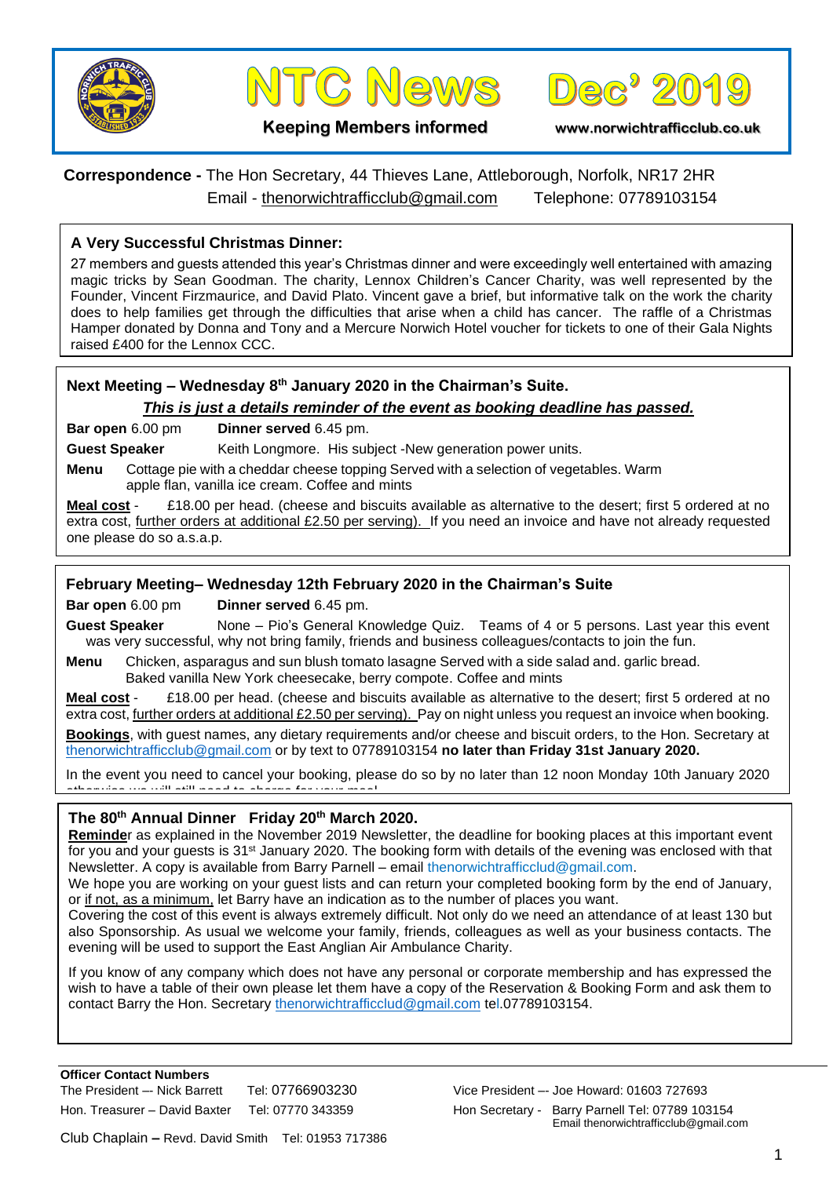





**Keeping Members informed www.norwichtrafficclub.co.uk**

# **Correspondence -** The Hon Secretary, 44 Thieves Lane, Attleborough, Norfolk, NR17 2HR Email - [thenorwichtrafficclub@gmail.com](mailto:thenorwichtrafficclub@gmail.com) Telephone: 07789103154

### **A Very Successful Christmas Dinner:**

27 members and guests attended this year's Christmas dinner and were exceedingly well entertained with amazing magic tricks by Sean Goodman. The charity, Lennox Children's Cancer Charity, was well represented by the Founder, Vincent Firzmaurice, and David Plato. Vincent gave a brief, but informative talk on the work the charity does to help families get through the difficulties that arise when a child has cancer. The raffle of a Christmas Hamper donated by Donna and Tony and a Mercure Norwich Hotel voucher for tickets to one of their Gala Nights raised £400 for the Lennox CCC.

### **Next Meeting – Wednesday 8th January 2020 in the Chairman's Suite.**

*This is just a details reminder of the event as booking deadline has passed.*

**Bar open** 6.00 pm **Dinner served** 6.45 pm.

**Guest Speaker** Keith Longmore. His subject -New generation power units.

**Menu** Cottage pie with a cheddar cheese topping Served with a selection of vegetables. Warm apple flan, vanilla ice cream. Coffee and mints

**Meal cost** - £18.00 per head. (cheese and biscuits available as alternative to the desert; first 5 ordered at no extra cost, further orders at additional £2.50 per serving). If you need an invoice and have not already requested one please do so a.s.a.p.

### **February Meeting– Wednesday 12th February 2020 in the Chairman's Suite**

**Bar open** 6.00 pm **Dinner served** 6.45 pm.

**Guest Speaker** None – Pio's General Knowledge Quiz. Teams of 4 or 5 persons. Last year this event was very successful, why not bring family, friends and business colleagues/contacts to join the fun.

**Menu** Chicken, asparagus and sun blush tomato lasagne Served with a side salad and. garlic bread. Baked vanilla New York cheesecake, berry compote. Coffee and mints

**Meal cost** - £18.00 per head. (cheese and biscuits available as alternative to the desert; first 5 ordered at no extra cost, further orders at additional £2.50 per serving). Pay on night unless you request an invoice when booking. **Bookings**, with guest names, any dietary requirements and/or cheese and biscuit orders, to the Hon. Secretary at [thenorwichtrafficclub@gmail.com](mailto:thenorwichtrafficclub@gmail.com) or by text to 07789103154 **no later than Friday 31st January 2020.**

In the event you need to cancel your booking, please do so by no later than 12 noon Monday 10th January 2020 otherwise we will still need to charge for your meal.

### **The 80th Annual Dinner Friday 20th March 2020.**

**Reminde**r as explained in the November 2019 Newsletter, the deadline for booking places at this important event for you and your guests is 31<sup>st</sup> January 2020. The booking form with details of the evening was enclosed with that Newsletter. A copy is available from Barry Parnell – email thenorwichtrafficclud@gmail.com.

We hope you are working on your guest lists and can return your completed booking form by the end of January, or if not, as a minimum, let Barry have an indication as to the number of places you want.

Covering the cost of this event is always extremely difficult. Not only do we need an attendance of at least 130 but also Sponsorship. As usual we welcome your family, friends, colleagues as well as your business contacts. The evening will be used to support the East Anglian Air Ambulance Charity.

If you know of any company which does not have any personal or corporate membership and has expressed the wish to have a table of their own please let them have a copy of the Reservation & Booking Form and ask them to contact Barry the Hon. Secretary [thenorwichtrafficclud@gmail.com](mailto:thenorwichtrafficclud@gmail.com) tel.07789103154.

**Officer Contact Numbers** The President –- Nick Barrett Tel: 07766903230 Vice President –- Joe Howard: 01603 727693 Hon. Treasurer – David Baxter Tel: 07770 343359 Hon Secretary - Barry Parnell Tel: 07789 103154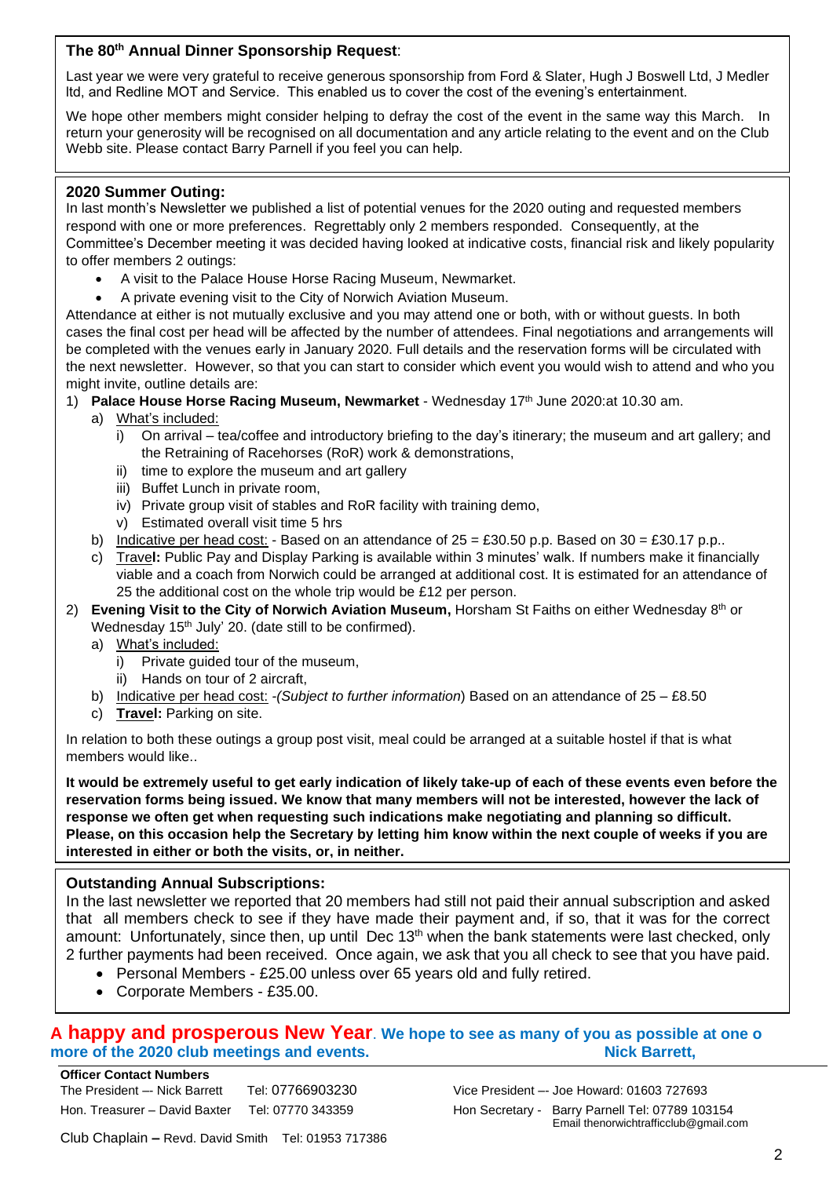### **The 80th Annual Dinner Sponsorship Request**:

Last year we were very grateful to receive generous sponsorship from Ford & Slater, Hugh J Boswell Ltd, J Medler ltd, and Redline MOT and Service. This enabled us to cover the cost of the evening's entertainment.

We hope other members might consider helping to defray the cost of the event in the same way this March. In return your generosity will be recognised on all documentation and any article relating to the event and on the Club Webb site. Please contact Barry Parnell if you feel you can help.

#### **2020 Summer Outing:**

In last month's Newsletter we published a list of potential venues for the 2020 outing and requested members respond with one or more preferences. Regrettably only 2 members responded. Consequently, at the Committee's December meeting it was decided having looked at indicative costs, financial risk and likely popularity to offer members 2 outings:

- A visit to the Palace House Horse Racing Museum, Newmarket.
- A private evening visit to the City of Norwich Aviation Museum.

Attendance at either is not mutually exclusive and you may attend one or both, with or without guests. In both cases the final cost per head will be affected by the number of attendees. Final negotiations and arrangements will be completed with the venues early in January 2020. Full details and the reservation forms will be circulated with the next newsletter. However, so that you can start to consider which event you would wish to attend and who you might invite, outline details are:

- 1) Palace House Horse Racing Museum, Newmarket Wednesday 17<sup>th</sup> June 2020:at 10.30 am.
	- a) What's included:
		- i) On arrival tea/coffee and introductory briefing to the day's itinerary; the museum and art gallery; and the Retraining of Racehorses (RoR) work & demonstrations,
		- ii) time to explore the museum and art gallery
		- iii) Buffet Lunch in private room,
		- iv) Private group visit of stables and RoR facility with training demo,
		- v) Estimated overall visit time 5 hrs
	- b) Indicative per head cost: Based on an attendance of  $25 = £30.50$  p.p. Based on  $30 = £30.17$  p.p..
	- c) Trave**l:** Public Pay and Display Parking is available within 3 minutes' walk. If numbers make it financially viable and a coach from Norwich could be arranged at additional cost. It is estimated for an attendance of 25 the additional cost on the whole trip would be £12 per person.
- 2) **Evening Visit to the City of Norwich Aviation Museum,** Horsham St Faiths on either Wednesday 8<sup>th</sup> or Wednesday 15<sup>th</sup> July' 20. (date still to be confirmed).
	- a) What's included:
		- i) Private guided tour of the museum,
		- ii) Hands on tour of 2 aircraft,
	- b) Indicative per head cost: *-(Subject to further information*) Based on an attendance of 25 £8.50
	- c) **Travel:** Parking on site.

In relation to both these outings a group post visit, meal could be arranged at a suitable hostel if that is what members would like..

**It would be extremely useful to get early indication of likely take-up of each of these events even before the reservation forms being issued. We know that many members will not be interested, however the lack of response we often get when requesting such indications make negotiating and planning so difficult. Please, on this occasion help the Secretary by letting him know within the next couple of weeks if you are interested in either or both the visits, or, in neither.**

### **Outstanding Annual Subscriptions:**

In the last newsletter we reported that 20 members had still not paid their annual subscription and asked that all members check to see if they have made their payment and, if so, that it was for the correct amount: Unfortunately, since then, up until Dec 13<sup>th</sup> when the bank statements were last checked, only 2 further payments had been received. Once again, we ask that you all check to see that you have paid.

- Personal Members £25.00 unless over 65 years old and fully retired.
- Corporate Members £35.00.

## **A happy and prosperous New Year**. **We hope to see as many of you as possible at one o more of the 2020 club meetings and events.** Nick Barrett, Nick Barrett,

**Officer Contact Numbers** The President –- Nick Barrett Tel: 07766903230 Vice President –- Joe Howard: 01603 727693 Hon. Treasurer – David Baxter Tel: 07770 343359 Hon Secretary - Barry Parnell Tel: 07789 103154